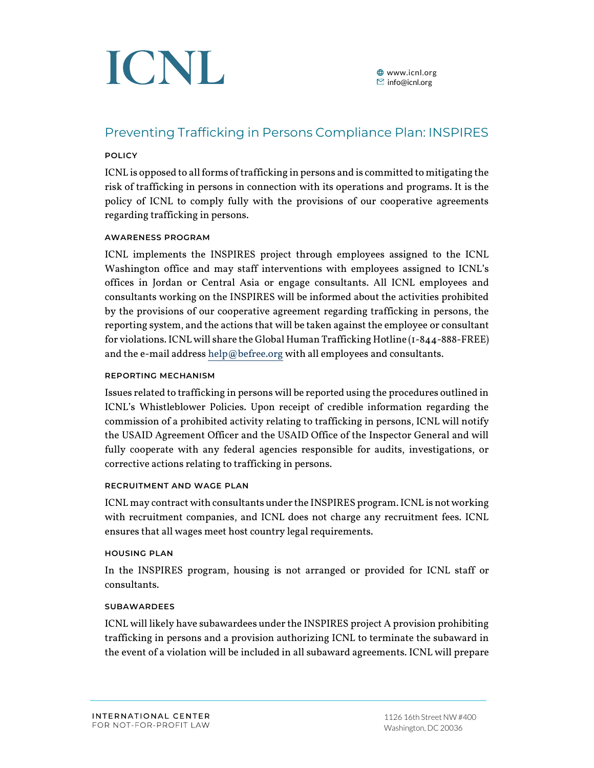# ICNL

## Preventing Trafficking in Persons Compliance Plan: INSPIRES

### **POLICY**

ICNL is opposed to all forms of trafficking in persons and is committed to mitigating the risk of trafficking in persons in connection with its operations and programs. It is the policy of ICNL to comply fully with the provisions of our cooperative agreements regarding trafficking in persons.

#### **AWARENESS PROGRAM**

ICNL implements the INSPIRES project through employees assigned to the ICNL Washington office and may staff interventions with employees assigned to ICNL's offices in Jordan or Central Asia or engage consultants. All ICNL employees and consultants working on the INSPIRES will be informed about the activities prohibited by the provisions of our cooperative agreement regarding trafficking in persons, the reporting system, and the actions that will be taken against the employee or consultant for violations. ICNL will share the Global Human Trafficking Hotline (1-844-888-FREE) and the e-mail addres[s help@befree.org](mailto:help@befree.org) with all employees and consultants.

#### **REPORTING MECHANISM**

Issues related to trafficking in persons will be reported using the procedures outlined in ICNL's Whistleblower Policies. Upon receipt of credible information regarding the commission of a prohibited activity relating to trafficking in persons, ICNL will notify the USAID Agreement Officer and the USAID Office of the Inspector General and will fully cooperate with any federal agencies responsible for audits, investigations, or corrective actions relating to trafficking in persons.

#### **RECRUITMENT AND WAGE PLAN**

ICNL may contract with consultants under the INSPIRES program.ICNL is not working with recruitment companies, and ICNL does not charge any recruitment fees. ICNL ensures that all wages meet host country legal requirements.

#### **HOUSING PLAN**

In the INSPIRES program, housing is not arranged or provided for ICNL staff or consultants.

### **SUBAWARDEES**

ICNL will likely have subawardees under the INSPIRES project A provision prohibiting trafficking in persons and a provision authorizing ICNL to terminate the subaward in the event of a violation will be included in all subaward agreements. ICNL will prepare